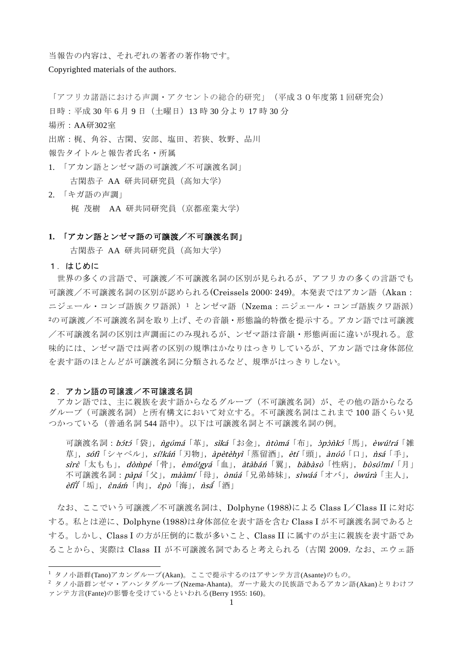当報告の内容は、それぞれの著者の著作物です。

Copyrighted materials of the authors.

「アフリカ諸語における声調・アクセントの総合的研究」(平成30年度第1回研究会)

日時:平成 30年6月9日 (土曜日) 13時 30 分より 17 時 30 分

場所:AA研302室

出席:梶、角谷、古閑、安部、塩田、若狭、牧野、品川

報告タイトルと報告者氏名・所属

- 1. 「アカン語とンゼマ語の可譲渡/不可譲渡名詞」 古閑恭子 AA 研共同研究員(高知大学)
- 2. 「キガ語の声調」 梶 茂樹 AA 研共同研究員(京都産業大学)

### **1.** 「アカン語とンゼマ語の可譲渡/不可譲渡名詞」

古閑恭子 AA 研共同研究員(高知大学)

1.はじめに

 $\overline{a}$ 

世界の多くの言語で、可譲渡/不可譲渡名詞の区別が見られるが、アフリカの多くの言語でも 可譲渡/不可譲渡名詞の区別が認められる(Creissels 2000: 249)。本発表ではアカン語(Akan: ニジェール・コンゴ語族クワ語派)1 とンゼマ語 (Nzema:ニジェール・コンゴ語族クワ語派) <sup>2</sup>の可譲渡/不可譲渡名詞を取り上げ、その音韻・形態論的特徴を提示する。アカン語では可譲渡 /不可譲渡名詞の区別は声調面にのみ現れるが、ンゼマ語は音韻・形態両面に違いが現れる。意 味的には、ンゼマ語では両者の区別の規準はかなりはっきりしているが、アカン語では身体部位 を表す語のほとんどが可譲渡名詞に分類されるなど、規準がはっきりしない。

### 2. アカン語の可譲渡/不可譲渡名詞

アカン語では、主に親族を表す語からなるグループ(不可譲渡名詞)が、その他の語からなる グループ(可譲渡名詞)と所有構文において対立する。不可譲渡名詞はこれまで 100 語くらい見 つかっている(普通名詞 544 語中)。以下は可譲渡名詞と不可譲渡名詞の例。

可譲渡名詞:*bɔ́tɔ*「袋」,*ǹgʊ́má*「革」,*sìká*「お金」,ǹtʊ̀má「布」,ɔ̀pɔ̀ǹkɔ́「馬」,èwú!rá「雑 草」, sófì 「シャベル」, sí!káń 「刃物」, àpètèhyì 「蒸留酒」, ètí 「頭」, ànúó 「口」, *ñsá* 「手」, sirè「太もも」,dòm̀ pé「骨」,èmó!gyá「血」,àtàbán´「翼」,bàbàsʊ̀「性病」,bòsʊ́!mí「月」 不可讓渡名詞: pàpá「父」,mààmí「母」, ònúá「兄弟姉妹」, sìwáá「オバ」, òwúrà「主人」, *èfíǐ*「垢」,*ènár*í「肉」,*èpù*「海」,*nsấ*「酒」

なお、ここでいう可譲渡/不可譲渡名詞は、Dolphyne (1988)による Class I/Class II に対応 する。私とは逆に、Dolphyne (1988)は身体部位を表す語を含む Class I が不可譲渡名詞であると する。しかし、Class I の方が圧倒的に数が多いこと、Class II に属すのが主に親族を表す語であ ることから、実際は Class II が不可譲渡名詞であると考えられる(古閑 2009. なお、エウェ語

 $1$  タノ小語群(Tano)アカングループ(Akan)。ここで提示するのはアサンテ方言(Asante)のもの。

 $2$  タノ小語群ンゼマ・アハンタグループ(Nzema-Ahanta)。ガーナ最大の民族語であるアカン語(Akan)とりわけフ ァンテ方言(Fante)の影響を受けているといわれる(Berry 1955: 160)。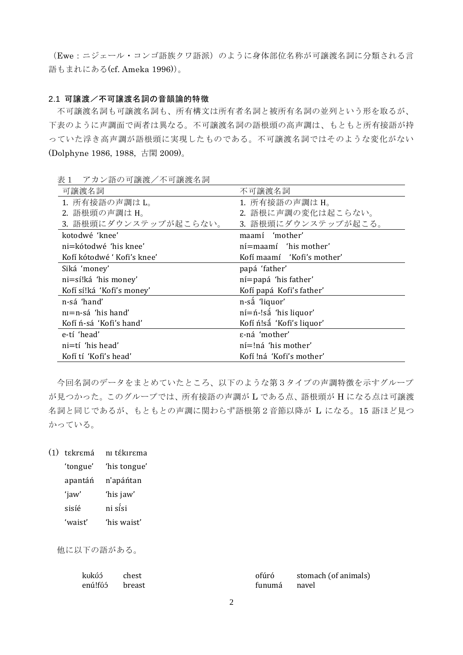(Ewe:ニジェール・コンゴ語族クワ語派)のように身体部位名称が可譲渡名詞に分類される言 語もまれにある(cf. Ameka 1996))。

# 2.1 可譲渡/不可譲渡名詞の音韻論的特徴

不可譲渡名詞も可譲渡名詞も、所有構文は所有者名詞と被所有名詞の並列という形を取るが、 下表のように声調面で両者は異なる。不可譲渡名詞の語根頭の高声調は、もともと所有接語が持 っていた浮き高声調が語根頭に実現したものである。不可譲渡名詞ではそのような変化がない (Dolphyne 1986, 1988, 古閑 2009)。

| 可譲渡名詞                      | 不可譲渡名詞                         |
|----------------------------|--------------------------------|
| 1. 所有接語の声調は L。             | 1. 所有接語の声調は H。                 |
| 2. 語根頭の声調は H。              | 2. 語根に声調の変化は起こらない。             |
| 3. 語根頭にダウンステップが起こらない。      | 3. 語根頭にダウンステップが起こる。            |
| kotodwé 'knee'             | maamí 'mother'                 |
| ni=kótodwé 'his knee'      | ní = maamí 'his mother'        |
| Kofí kótodwé 'Kofi's knee' | Kofí maamí 'Kofi's mother'     |
| Siká 'money'               | papá 'father'                  |
| ni=sí!ká 'his money'       | ní=papá 'his father'           |
| Kofí sí!ká 'Kofi's money'  | Kofí papá Kofi's father'       |
| n-sá 'hand'                | n-sắ 'liquor'                  |
| $n = n - s$ á 'his hand'   | $n = n$ -!sa 'his liquor'      |
| Kofí ń-sá 'Kofi's hand'    | Kofí n!sa 'Kofi's liquor'      |
| e-tí 'head'                | ε-ná 'mother'                  |
| $ni=t$ í 'his head'        | $n = ln\acute{a}$ 'his mother' |
| Kofí tí 'Kofi's head'      | Kofí !ná 'Kofi's mother'       |

表1 アカン語の可譲渡/不可譲渡名詞

今回名詞のデータをまとめていたところ、以下のような第3タイプの声調特徴を示すグループ が見つかった。このグループでは、所有接語の声調が L である点、語根頭が H になる点は可譲渡 名詞と同じであるが、もともとの声調に関わらず語根第2音節以降が L になる。15 語ほど見つ かっている。

(1) tɛkrɛmá nɪ tɛ́kɪrɛma

| 'tongue' | 'his tongue' |
|----------|--------------|
| apantáń  | n'apáńtan    |
| 'jaw'    | 'his jaw'    |
| sisíé    | ni sísi      |
| 'waist'  | 'his waist'  |

他に以下の語がある。

| kukúś          | chest | ofúró        | stomach (of animals) |
|----------------|-------|--------------|----------------------|
| enú!fóó breast |       | funumá navel |                      |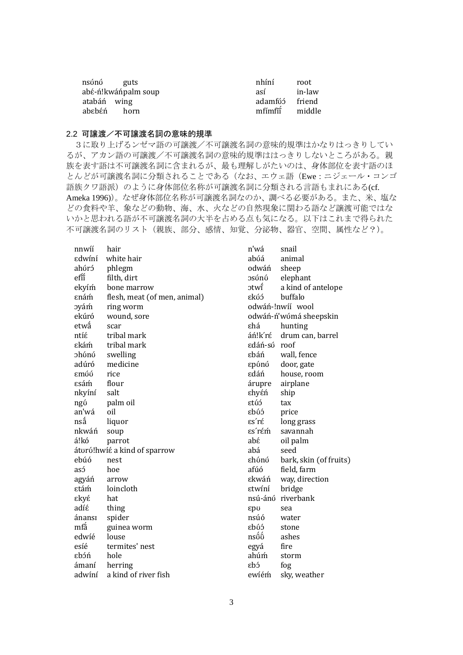| nsónó guts  |                     | nhíní          | root   |
|-------------|---------------------|----------------|--------|
|             | abé-ń!kwáńpalm soup | así            | in-law |
| atabán wing |                     | adamfóó friend |        |
| abebén horn |                     | mfímfií        | middle |

# 2.2 可譲渡/不可譲渡名詞の意味的規準

3に取り上げるンゼマ語の可譲渡/不可譲渡名詞の意味的規準はかなりはっきりしてい るが、アカン語の可譲渡/不可譲渡名詞の意味的規準ははっきりしないところがある。親 族を表す語は不可譲渡名詞に含まれるが、最も理解しがたいのは、身体部位を表す語のほ とんどが可譲渡名詞に分類されることである(なお、エウェ語(Ewe:ニジェール・コンゴ 語族クワ語派)のように身体部位名称が可譲渡名詞に分類される言語もまれにある(cf. Ameka 1996))。なぜ身体部位名称が可譲渡名詞なのか、調べる必要がある。また、米、塩な どの食料や羊、象などの動物、海、水、火などの自然現象に関わる語など譲渡可能ではな いかと思われる語が不可譲渡名詞の大半を占める点も気になる。以下はこれまで得られた 不可譲渡名詞のリスト(親族、部分、感情、知覚、分泌物、器官、空間、属性など?)。

| nnwíí  | hair                         | n'wá         | snail                  |
|--------|------------------------------|--------------|------------------------|
| εdwíní | white hair                   | abúá         | animal                 |
| ahúró  | phlegm                       | odwáń        | sheep                  |
| efĭ    | filth, dirt                  | วรบ์ทบ์      | elephant               |
| ekyím  | bone marrow                  | วtwî         | a kind of antelope     |
| εnám   | flesh, meat (of men, animal) | εkύэ         | buffalo                |
| oyám   | ring worm                    |              | odwáń-!nwíí wool       |
| ekúró  | wound, sore                  |              | odwáń-ń'wómá sheepskin |
| etwấ   | scar                         | εhá          | hunting                |
| ntíέ   | tribal mark                  | áń!k′ré      | drum can, barrel       |
| εkám   | tribal mark                  | edáń-sú roof |                        |
| ohónó  | swelling                     | εbáń         | wall, fence            |
| adúró  | medicine                     | ερύηύ        | door, gate             |
| εmύύ   | rice                         | εdáń         | house, room            |
| εsám   | flour                        | árupre       | airplane               |
| nkyíní | salt                         | εhyέń        | ship                   |
| ngó    | palm oil                     | ετύό         | tax                    |
| an'wá  | oil                          | εbύ5         | price                  |
| nsấ    | liquor                       | εs΄rέ        | long grass             |
| nkwáń  | soup                         | εs′rέṁ       | savannah               |
| á!kó   | parrot                       | abέ          | oil palm               |
|        | áturú!hwíé a kind of sparrow | abá          | seed                   |
| ebúó   | nest                         | εhύnύ        | bark, skin (of fruits) |
| asó    | hoe                          | afúó         | field, farm            |
| agyáń  | arrow                        | εkwáń        | way, direction         |
| εtám   | loincloth                    | εtwíní       | bridge                 |
| εkyέ   | hat                          |              | nsú-ánó riverbank      |
| adíé   | thing                        | ερυ          | sea                    |
| ánansı | spider                       | nsúó         | water                  |
| mfá    | guinea worm                  | εbύэ         | stone                  |
| edwíé  | louse                        | nsốố         | ashes                  |
| esíé   | termites' nest               | egyá         | fire                   |
| εbóń   | hole                         | ahúṁ         | storm                  |
| ámaní  | herring                      | εbэ          | fog                    |
| adwíní | a kind of river fish         | ewíém        | sky, weather           |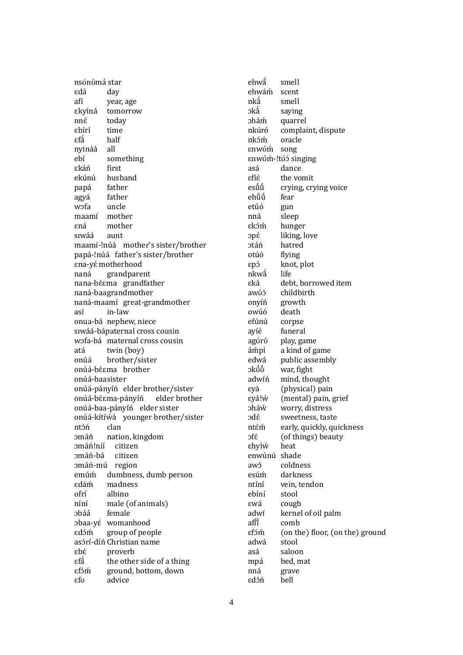nsʊ́nʊ́má star ɛdá day afí year, age ɛkyɪ́ná tomorrow nnɛ́ today ɛbɪ́rɪ́ time εfắ ́ half nyináá all ebí something ɛkáń first ekúnú husband papá father agyá father wɔfa uncle maamí mother ɛná mother sɪwáá aunt maamí-!núá mother's sister/brother papá-!núá father's sister/brother ɛna-yɛ́motherhood naná grandparent nana-béema grandfather naná-baagrandmother naná-maamí great-grandmother así in-law onua-bá nephew, niece sɪwáá-bápaternal cross cousin wɔfa-bá maternal cross cousin atá twin (boy) onúá brother/sister onúá-bɛ́ɛma brother onúá-baasister onúá-pányíń elder brother/sister onúá-bé $\epsilon$ ma-pányíń elder brother onúá-baa-pányíń elder sister onúá-kítíwá younger brother/sister ntɔ́ń clan ɔmáń nation, kingdom ɔmáń!níí citizen ɔmáń-bá citizen ɔmáń-mú region emúḿ dumbness, dumb person ɛdáḿ madness ofrí albino níní male (of animals) ɔbáá female ɔbaa-yɛ́ womanhood ɛdɔ́ḿ group of people asárí-díń Christian name ɛbɛ́ proverb εfắ ́ the other side of a thing ɛfɔ́ḿ ground, bottom, down ɛfʊ advice

ehwá ́ smell ehwáḿ scent  $nk\hat{a}$ ́ smell ɔka saying ɔháḿ quarrel nkúró complaint, dispute nkɔ́ḿ oracle ɛnwʊ́ḿ song ɛnwʊ́ḿ-!tʊ́ ɔ́ singing asá dance ɛfɪ́ɛ́ the vomit esū́u crying, crying voice ehűű fear etúó gun nná sleep ɛkɔ́ḿ hunger ɔpɛ́ liking, love ɔtáń hatred otúó flying ɛpɔ́ knot, plot nkwá life ɛká debt, borrowed item awú<sub>2</sub> childbirth onyíń growth owúó death efúnú corpse ayíé funeral agʊ́rʊ́ play, game áḿpí a kind of game edwá public assembly ɔkʊ ́ʊ war, fight adwiń mind, thought ɛyá (physical) pain ɛyá!ẃ (mental) pain, grief ɔháẃ worry, distress ɔdɛ́ sweetness, taste ntém early, quickly, quickness ɔfɛ́ (of things) beauty ɛhyɪ́ẃ heat enwúnú shade awó coldness esúḿ darkness ntíní vein, tendon ebíní stool ɛwá cough adwi kernel of oil palm afii ́ comb ɛfɔ́ḿ (on the) floor, (on the) ground adwá stool asá saloon mpá bed, mat nná grave ɛdɔ́ń bell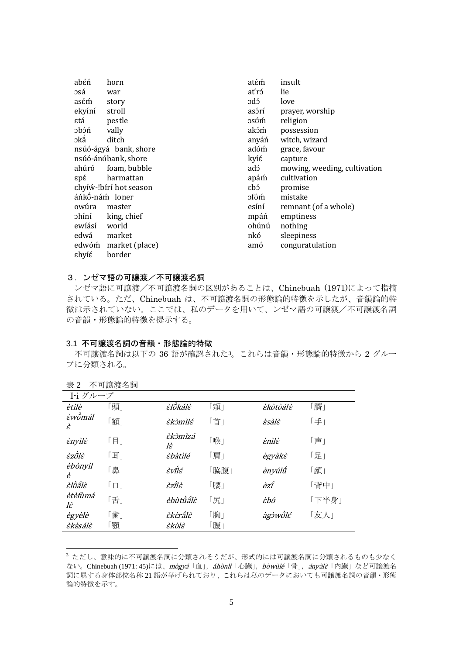| abéń           | horn                   | atém  | insult                       |
|----------------|------------------------|-------|------------------------------|
| osá            | war                    | at′ró | lie                          |
| asém           | story                  | cbc   | love                         |
| ekyíní         | stroll                 | asórí | prayer, worship              |
| εtá            | pestle                 | osúm  | religion                     |
| dcdc           | vally                  | akóm  | possession                   |
| эkấ            | ditch                  | anyáń | witch, wizard                |
|                | nsúó-ágyá bank, shore  | adúm  | grace, favour                |
|                | nsúó-ánóbank, shore    | kyíέ  | capture                      |
| ahúró          | foam, bubble           | adɔ́  | mowing, weeding, cultivation |
| ερέ            | harmattan              | apám  | cultivation                  |
|                | εhyíώ-!bírí hot season | εbó   | promise                      |
| áńkő-nám loner |                        | ofóm  | mistake                      |
| owúra          | master                 | esíní | remnant (of a whole)         |
| ohíní          | king, chief            | mpáń  | emptiness                    |
| ewíásí         | world                  | ohúnú | nothing                      |
| edwá           | market                 | nkó   | sleepiness                   |
| edwóm          | market (place)         | amó   | conguratulation              |
| εhyíέ          | border                 |       |                              |
|                |                        |       |                              |

# 3. ンゼマ語の可譲渡/不可譲渡名詞

ンゼマ語に可譲渡/不可譲渡名詞の区別があることは、Chinebuah (1971)によって指摘 されている。ただ、Chinebuah は、不可譲渡名詞の形態論的特徴を示したが、音韻論的特 徴は示されていない。ここでは、私のデータを用いて、ンゼマ語の可譲渡/不可譲渡名詞 の音韻・形態論的特徴を提示する。

### 3.1 不可譲渡名詞の音韻・形態論的特徴

不可譲渡名詞は以下の 36 語が確認された3。これらは音韻・形態論的特徴から 2 グルー プに分類される。

| 28 A          | ↓ Hメルス・H H・1 |               |      |          |       |
|---------------|--------------|---------------|------|----------|-------|
| I-i グループ      |              |               |      |          |       |
| ètìlè         | 「頭」          | èfồkálè       | 「頬」  | Èkùtùálè | 「臍」   |
| Èwῢmál<br>È   | 「額」          | èkòmìlé       | 「首」  | Èsàlè    | 「手」   |
| Ènyìlè        | 「目」          | èkòmìzá<br>lὲ | 「喉」  | ènìlè    | 「声」   |
| Èzῢlὲ         | 「耳」          | èbàtìlé       | 「肩」  | ègyàkè   | 「足」   |
| èbònyìl<br>è  | 鼻」           | Èνΐlέ         | 「脇腹」 | ènyúlű   | 「顔」   |
| èlồắlè        | 「口」          | Èzῒlὲ         | 「腰」  | èzî      | 「背中」  |
| ètèfùmá<br>lὲ | 「舌」          | èbùtนี้ส์lะ้  | 「尻」  | Èbύ      | 「下半身」 |
| ègyèlè        | 「歯」          | èkèrấlè       | 「胸」  | àgỳwῢlé  | 「友人」  |
| èkèsálè       | 顎」           | Èkὺlὲ         | 「腹」  |          |       |

表 2 不可譲渡名詞

-

<sup>3</sup> ただし、意味的に不可譲渡名詞に分類されそうだが、形式的には可譲渡名詞に分類されるものも少なく ない。Chinebuah (1971: 45)には、mògyá「血」, áhònlì「心臓」, bòwùlé「骨」, ányàlè「内臓」など可譲渡名 詞に属する身体部位名称 21 語が挙げられており、これらは私のデータにおいても可譲渡名詞の音韻・形態 論的特徴を示す。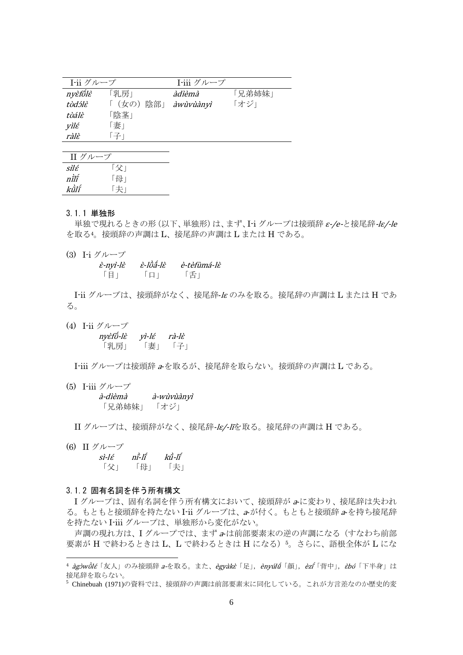| I-ii グループ |          | I-iii グループ |        |
|-----------|----------|------------|--------|
| nyèfőlè   | 「乳房」     | àdièmà     | 「兄弟姉妹」 |
| tùdɔ́lɛ̀  | 「(女の)陰部」 | àwùvùànyì  | 「オジ」   |
| tùálè     | 「陰茎」     |            |        |
| vìlέ      | 「妻」      |            |        |
| ràlè      | 「子」      |            |        |

| II グループ |     |
|---------|-----|
| sìlé    | 「父」 |
| nÌlĩ    | 「母」 |
| kũlí    |     |

#### 3.1.1 単独形

単独で現れるときの形(以下、単独形)は、まず、I-i グループは接頭辞 <sup>ɛ</sup>-/e-と接尾辞-lɛ/-le を取る4。接頭辞の声調は L、接尾辞の声調は L または H である。

(3) I-i グループ

| $\dot{\varepsilon}$ -nyì-l $\dot{\varepsilon}$ | ὲ-lῢấ-lὲ | è-tèfùmá-lè |
|------------------------------------------------|----------|-------------|
| 目                                              | $\Box$   | 「舌」         |

I-ii グループは、接頭辞がなく、接尾辞-<sup>l</sup><sup>ɛ</sup> のみを取る。接尾辞の声調は L または H であ る。

(4) I-ii グループ nyὲfố -lɛ̀ yɪ̀-lɛ́ rà-lɛ̀ 「乳房」 「妻」 「子」

I-iii グループは接頭辞 <sup>a</sup>-を取るが、接尾辞を取らない。接頭辞の声調は L である。

(5) I-iii グループ à-dìèmà à-wùvùànyì

「兄弟姉妹」 「オジ」

II グループは、接頭辞がなく、接尾辞-lɛ/-lĩを取る。接尾辞の声調は H である。

(6) II グループ

-

 $si$ -l $\varepsilon$ ̀-lı ́ $\vec{k}$ û-lî 「父」 「母」 「夫」

### 3.1.2 固有名詞を伴う所有構文

I グループは、固有名詞を伴う所有構文において、接頭辞が <sup>a</sup>-に変わり、接尾辞は失われ る。もともと接頭辞を持たない I-ii グループは、a-が付く。もともと接頭辞 <sup>a</sup>-を持ち接尾辞 を持たない I-iii グループは、単独形から変化がない。

声調の現れ方は、Iグループでは、まず a-は前部要素末の逆の声調になる(すなわち前部 要素が H で終わるときは L、L で終わるときは H になる)5。さらに、語根全体が L にな

<sup>5</sup> Chinebuah (1971)の資料では、接頭辞の声調は前部要素末に同化している。これが方言差なのか歴史的変

<sup>&</sup>lt;sup>4</sup> àgòwòlé 「友人」のみ接頭辞 a-を取る。また、ègyàkè「足」,ènyúlǘ「顔」,èzŕ 「背中」,ἐbύ 「下半身」は 接尾辞を取らない。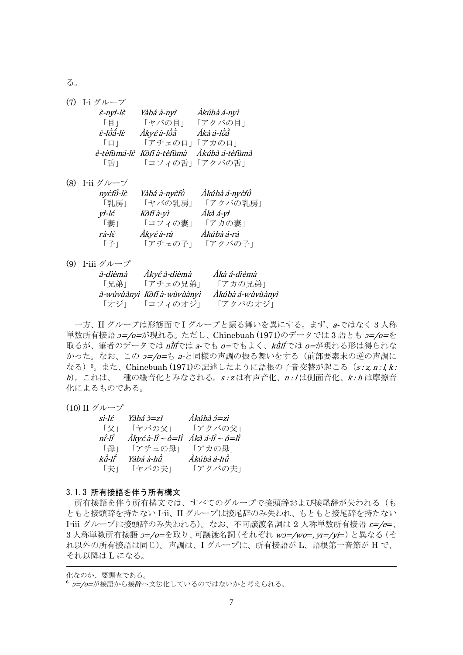る。

| (7) I-i グループ                |                           |                |
|-----------------------------|---------------------------|----------------|
| $\dot{\varepsilon}$ -nyì-lè | Yàbá à-nyì                | Àkúbà á-nyì    |
| $\lceil \frac{1}{2} \rceil$ | 「ヤバの目」                    | 「アクバの目」        |
| ὲ-lῢắ-lὲ                    | Àkyé à-lῢằ                | Ákà á-lồằ      |
| $\Box$                      | 「アチェのロ」「アカのロ」             |                |
|                             | è-tèfùmá-lè Kòfí à-tèfùmà | Àkúbà á-tèfùmà |
| 「舌」                         |                           | 「コフィの舌」「アクバの舌」 |
|                             |                           |                |

(8) I-ii グループ

| nyèfő-lè | Yàbá à-nyèfồ | Àkúbà á-nyèfồ |
|----------|--------------|---------------|
| 「乳房」     | 「ヤバの乳房」      | 「アクバの乳房」      |
| yì-lέ    | Kòfí à-yì    | Ákà á-yì      |
| 「妻」      | 「コフィの妻」      | 「アカの妻」        |
| rà-lè    | Àkyé à-rà    | Àkúbà á-rà    |
| 「子」      | 「アチェの子」      | 「アクバの子」       |

# (9) I-iii グループ

| <i>à-dìèmà</i> | Àkyé à-dìèmà               | Ákà á-dìèmà      |
|----------------|----------------------------|------------------|
| 「兄弟」           | 「アチェの兄弟」                   | 「アカの兄弟」          |
|                | à-wùvùànyì Kòfí à-wùvùànyì | Àkúbà á-wùvùànyì |
|                |                            |                  |

一方、II グループは形態面で I グループと振る舞いを異にする。まず、a-ではなく 3 人称 単数所有接語  $2=$ /0=が現れる。ただし、Chinebuah (1971)のデータでは3語とも  $2=$ /0=を 取るが、筆者のデータでは *ni*líでは a-でも o=でもよく、kū̀líでは o=が現れる形は得られな かった。なお、この  $2=$ /0=も a-と同様の声調の振る舞いをする(前部要素末の逆の声調に なる)6。また、Chinebuah (1971)の記述したように語根の子音交替が起こる (s:z, n:l, k:  $h$ )。これは、一種の緩音化とみなされる。s: z は有声音化、n: lは側面音化、k: h は摩擦音 化によるものである。

# (10) II グループ

| sì-lé | Yàbá ɔ̀=zì                       | Àkúbà ɔ́=zì      |
|-------|----------------------------------|------------------|
| 「父」   | 「ヤバの父」                           | 「アクバの父」          |
| nî-lî | $\hat{A}$ kyé à-li` $\sim$ ò=li` | Ákà á-li`~ ó=li` |
| 「母」   | 「アチェの母」                          | 「アカの母」           |
| kǜ-lí | Yàbá à-hữ                        | Àkúbà á-hữ       |
| 「夫」   | 「ヤバの夫」                           | 「アクバの夫」          |

# 3.1.3 所有接語を伴う所有構文

所有接語を伴う所有構文では、すべてのグループで接頭辞および接尾辞が失われる(も ともと接頭辞を持たない I-ii、II グループは接尾辞のみ失われ、もともと接尾辞を持たない I-iii グループは接頭辞のみ失われる)。なお、不可譲渡名詞は 2 人称単数所有接語 ε=/e=、 3 人称単数所有接語  $2 = / 0 = 2$ 取り、可譲渡名詞 (それぞれ w2=/wo=, yT=/yi=) と異なる (そ れ以外の所有接語は同じ)。声調は、I グループは、所有接語が L、語根第一音節が H で、 それ以降は L になる。

-

化なのか、要調査である。

<sup>6</sup> *コー/o=*が接語から接辞へ文法化しているのではないかと考えられる。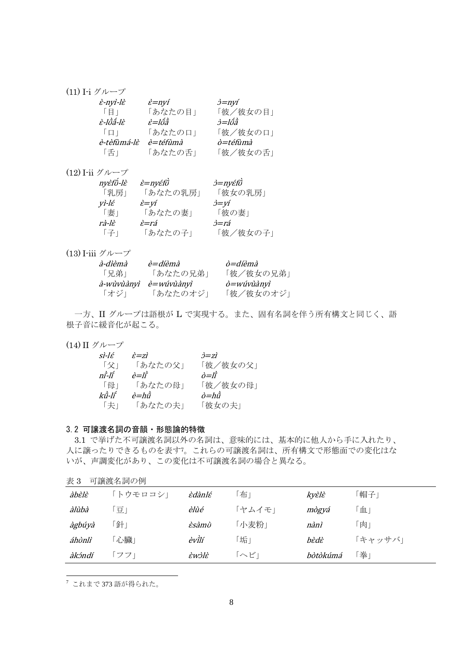# (11) I-i グループ

| È-nyì-lὲ    | $\dot{\varepsilon}$ =nyí | $\dot{\partial} = nyf$ |
|-------------|--------------------------|------------------------|
| 「目」         | 「あなたの目」                  | 「彼/彼女の目」               |
| È-lῢắ-lÈ    | è=lőầ                    | <i>ò=lốã</i>           |
| $\Box$      | 「あなたの口」                  | 「彼/彼女の口」               |
| è-tèfùmá-lè | è=téfùmà                 | ò=téfùmà               |
| 「舌」         | 「あなたの舌」                  | 「彼/彼女の舌」               |

(12) I-ii グループ

| nyèfő-lè | <i>è=nyéfő</i>                     | <i>d=nγέfῢ</i>       |
|----------|------------------------------------|----------------------|
| 「乳房」     | 「あなたの乳房」                           | 「彼女の乳房」              |
| yì-lέ    | $\dot{\varepsilon} = v\dot{\iota}$ | $\dot{\jmath} = V I$ |
| 「妻」      | 「あなたの妻」                            | 「彼の妻」                |
| rà-lè    | È=rá                               | <i>ò=rá</i>          |
| 「子」      | 「あなたの子」                            | 「彼/彼女の子」             |

# (13) I-iii グループ

| <i>à-dìèmà</i>    | <i>è=díèmà</i> | ò=díèmà                             |
|-------------------|----------------|-------------------------------------|
| 「兄弟」              | 「あなたの兄弟」       | 「彼/彼女の兄弟」                           |
| <i>à-wùvùànyì</i> | è=wúvùànyì     | $\dot{\rho} =$ wúv $\dot{\nu}$ ànyì |
| 「オジ」              | 「あなたのオジ」       | 「彼/彼女のオジ」                           |

一方、II グループは語根が L で実現する。また、固有名詞を伴う所有構文と同じく、語 根子音に緩音化が起こる。

# (14) II グループ

| si-lé          | $\grave{\varepsilon} = z\grave{\varepsilon}$ | $\dot{\beta} = z\dot{t}$ |
|----------------|----------------------------------------------|--------------------------|
| 「父」            | 「あなたの父」                                      | 「彼/彼女の父」                 |
| ni-lí          | $\dot{e} = l\dot{\tilde{\imath}}$            | $\partial = I \hat{I}$   |
| 「母」            | 「あなたの母」                                      | 「彼/彼女の母」                 |
| $k\hat{u}$ -lî | è=hữ                                         | $\partial = h \hat{u}$   |
| 「夫」            | 「あなたの夫」                                      | 「彼女の夫」                   |

# 3.2 可譲渡名詞の音韻・形態論的特徴

3.1 で挙げた不可譲渡名詞以外の名詞は、意味的には、基本的に他人から手に入れたり、 人に譲ったりできるものを表す7。これらの可譲渡名詞は、所有構文で形態面での変化はな いが、声調変化があり、この変化は不可譲渡名詞の場合と異なる。

| 表 3    | 可譲渡名詞の例  |                                            |        |          |         |
|--------|----------|--------------------------------------------|--------|----------|---------|
| àbèlè  | 「トウモロコシ」 | èdànlé                                     | 「布」    | kyèlè    | 「帽子」    |
| àlùbà  | 「豆」      | èlùé                                       | 「ヤムイモ」 | mògyá    | ĒΔ.     |
| àgbúyà | 「針」      | Èsàmù                                      | 「小麦粉」  | nànì     | 「肉」     |
| áhònlì | 「心臟」     | èvilí                                      | 「垢」    | bèdè     | 「キャッサバ」 |
| àkźndí | フフー      | $\dot{\varepsilon}$ wż $\dot{\varepsilon}$ | 「へビ」   | bòtòkúmá | 拳       |

<sup>7</sup> これまで 373 語が得られた。

-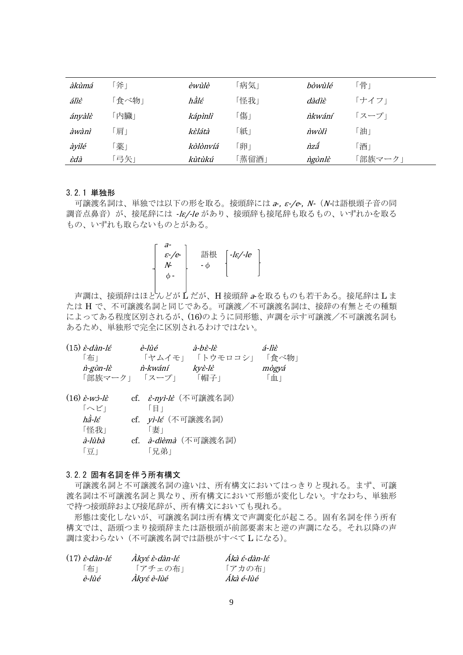| àkùmá  | 斧」  | èwùlè    | 「病気」  | bòwùlé | 「骨」     |
|--------|-----|----------|-------|--------|---------|
| áliè   | 食べ物 | hằlé     | 「怪我」  | dàdìè  | 「ナイフ」   |
| ányàlè | 内臓」 | kápìnlì  | 傷.    | nkwání | 「スープ」   |
| àwànì  | 肩」  | kèlátà   | 「紙」   | nwùlì  | 「油」     |
| àyìlé  | 薬」  | kòlònvíá | 卵」    | nzấ    | 「酒」     |
| Èdà    | 弓矢」 | kùtùkú   | 「蒸留酒」 | ngùnlè | 「部族マーク」 |

### 3.2.1 単独形

可譲渡名詞は、単独では以下の形を取る。接頭辞には a-,  $\varepsilon$ -/e-, N- (N-は語根頭子音の同 調音点鼻音)が、接尾辞には -le/-le があり、接頭辞も接尾辞も取るもの、いずれかを取る もの、いずれも取らないものとがある。

| $\varepsilon$ -/e- | 語根 | $-$ l $\varepsilon$ /-le |
|--------------------|----|--------------------------|
|                    |    |                          |
|                    |    |                          |
|                    |    |                          |

声調は、接頭辞はほとんどが L だが、H 接頭辞 <sup>a</sup>-を取るものも若干ある。接尾辞は L ま たは H で、不可譲渡名詞と同じである。可譲渡/不可譲渡名詞は、接辞の有無とその種類 によってある程度区別されるが、(16)のように同形態、声調を示す可譲渡/不可譲渡名詞も あるため、単独形で完全に区別されるわけではない。

| $(15) \dot{\varepsilon}$ -dàn-lé                   | è-liìé                       | à-hè-lè                     | á-liè |
|----------------------------------------------------|------------------------------|-----------------------------|-------|
| 「布」                                                | 「ヤムイモ」                       | 「トウモロコシ」                    | 「食べ物」 |
| n-gùn-lè                                           | n-kwání                      | kyè-lè                      | mògyá |
| 「部族マーク」 「スープ」                                      |                              | 「帽子」                        | 「血」   |
|                                                    |                              |                             |       |
| $(16) \dot{\varepsilon}$ -wż-l $\dot{\varepsilon}$ | cf. <i>È-nyì-lÈ</i> (不可譲渡名詞) |                             |       |
| 「へビ」                                               | 「目」                          |                             |       |
| hầ-lé                                              | cf. <i>yi-lé</i> (不可譲渡名詞)    |                             |       |
| 「怪我」                                               | 「妻」                          |                             |       |
| <i>à-lùbà</i>                                      |                              | cf. <i>à-dièmà</i> (不可讓渡名詞) |       |
| 「豆」                                                | 「兄弟」                         |                             |       |

### 3.2.2 固有名詞を伴う所有構文

可譲渡名詞と不可譲渡名詞の違いは、所有構文においてはっきりと現れる。まず、可譲 渡名詞は不可譲渡名詞と異なり、所有構文において形態が変化しない。すなわち、単独形 で持つ接頭辞および接尾辞が、所有構文においても現れる。

形態は変化しないが、可譲渡名詞は所有構文で声調変化が起こる。固有名詞を伴う所有 構文では、語頭つまり接頭辞または語根頭が前部要素末と逆の声調になる。それ以降の声 調は変わらない(不可譲渡名詞では語根がすべて L になる)。

| $(17)$ <i>è-dàn-lé</i> | Àkyé è-dàn-lé | Ákà é-dàn-lé |
|------------------------|---------------|--------------|
| 「布」                    | 「アチェの布」       | 「アカの布」       |
| è-lùé                  | Àkyé è-lùé    | Ákà é-lùé    |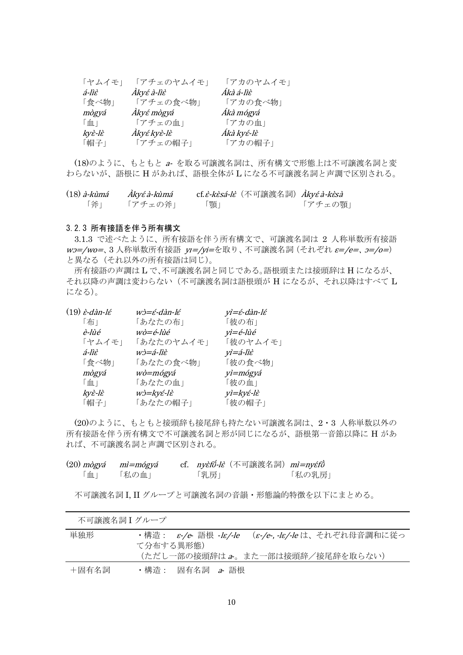| 「ヤムイモ」 | 「アチェのヤムイモ」  | 「アカのヤムイモ」  |
|--------|-------------|------------|
| á-lìè  | Àkyé à-lìè  | Ákà á-lìè  |
| 「食べ物」  | 「アチェの食べ物」   | 「アカの食べ物」   |
| mògyá  | Àkyé mògyá  | Ákà mógyá  |
| 「血」    | 「アチェの血」     | 「アカの血」     |
| kyè-lè | Àkyé kyè-lè | Ákà kyé-lè |
| 「帽子」   | 「アチェの帽子」    | 「アカの帽子」    |

(18)のように、もともと a- を取る可譲渡名詞は、所有構文で形態上は不可譲渡名詞と変 わらないが、語根に H があれば、語根全体が L になる不可譲渡名詞と声調で区別される。

| $(18)$ à-kùmá | Àkyé à-kùmá | cf. <i>è-kèsá-lè</i> (不可譲渡名詞) <i>Àkyé à-kèsà</i> |         |
|---------------|-------------|--------------------------------------------------|---------|
| 「斧」           | 「アチェの斧」     | 「顎」                                              | 「アチェの顎」 |

### 3.2.3 所有接語を伴う所有構文

3.1.3 で述べたように、所有接語を伴う所有構文で、可譲渡名詞は 2 人称単数所有接語 wo=/wo=、3 人称単数所有接語 yr=/yi=を取り、不可譲渡名詞 (それぞれ ε=/e=、 ο=/ο=) と異なる(それ以外の所有接語は同じ)。

所有接語の声調は L で、不可譲渡名詞と同じである。語根頭または接頭辞は H になるが、 それ以降の声調は変わらない(不可譲渡名詞は語根頭が H になるが、それ以降はすべて L になる)。

| $(19)$ à-dàn-lé                              | wì=é-dàn-lé | yì=é-dàn-lé |
|----------------------------------------------|-------------|-------------|
| 「布」                                          | 「あなたの布」     | 「彼の布」       |
| è-lùé                                        | wò=é-lùé    | yì=é-lùé    |
| 「ヤムイモ」                                       | 「あなたのヤムイモ」  | 「彼のヤムイモ」    |
| á-lìè                                        | wɔ̀=á-lìɛ̀  | yì=á-lìὲ    |
| 「食べ物」                                        | 「あなたの食べ物」   | 「彼の食べ物」     |
| mògyá                                        | wò=mógyá    | yì=mógyá    |
| 「血」                                          | 「あなたの血」     | 「彼の血」       |
| $ky\dot{\varepsilon}$ -l $\dot{\varepsilon}$ | wż=kyé-lè   | yì=kyé-lè   |
| 「帽子」                                         | 「あなたの帽子」    | 「彼の帽子」      |

(20)のように、もともと接頭辞も接尾辞も持たない可譲渡名詞は、2・3 人称単数以外の 所有接語を伴う所有構文で不可譲渡名詞と形が同じになるが、語根第一音節以降に H があ れば、不可譲渡名詞と声調で区別される。

| $(20)$ mògyá mì=mógyá |       | cf. ny <i>èfǘ-lè</i> (不可譲渡名詞) mì=nyéfǜ |        |
|-----------------------|-------|----------------------------------------|--------|
| $\mathbb{m}$          | 「私の血」 | 「乳房」                                   | 「私の乳房」 |

不可譲渡名詞 I, II グループと可譲渡名詞の音韻・形態論的特徴を以下にまとめる。

| 不可譲渡名詞 】 グループ |                                                                         |
|---------------|-------------------------------------------------------------------------|
| 単独形           | ・構造: ε-/e- 語根 - <i>lε/-le (ε-/e-,-lε/-le</i> は、それぞれ母音調和に従っ<br>て分布する異形熊) |
|               | (ただし一部の接頭辞は a。また一部は接頭辞/接尾辞を取らない)                                        |
| +固有名詞         | ・構造 : 固有名詞 <i>a</i> 語根                                                  |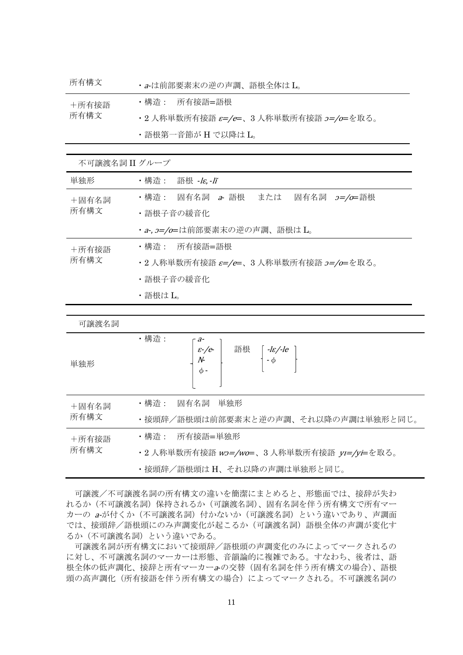| 所有構文  | ・a-は前部要素末の逆の声調、語根全体はL。                 |
|-------|----------------------------------------|
| +所有接語 | ・構造 : 所有接語=語根                          |
| 所有構文  | ・2 人称単数所有接語 ε=/e=、3 人称単数所有接語 2=/o=を取る。 |
|       | ・語根第一音節が H で以降は L。                     |

| 不可譲渡名詞 II グループ |                                        |  |  |
|----------------|----------------------------------------|--|--|
| 単独形            | ・構造: 語根 <i>-lɛ,-lĩ</i>                 |  |  |
| +固有名詞          | ・構造: 固有名詞 <i>a</i> 語根  または             |  |  |
| 所有構文           | ・語根子音の緩音化                              |  |  |
|                | ・a-, 2=/0=は前部要素末の逆の声調、語根は L。           |  |  |
| +所有接語          | ・構造 : 所有接語=語根                          |  |  |
| 所有構文           | ・2 人称単数所有接語 ε=/e=、3 人称単数所有接語 э=/ο=を取る。 |  |  |
|                | ・語根子音の緩音化                              |  |  |
|                | ・語根はL。                                 |  |  |

| 可譲渡名詞 |                                                                                                                                                    |  |  |
|-------|----------------------------------------------------------------------------------------------------------------------------------------------------|--|--|
| 単独形   | ·構造:<br>$\begin{array}{c c}\n\varepsilon-\sqrt{e}\\ N\cdot\n\end{array}$ 語根 $\left[\begin{array}{c} -le/-le\\ -\phi\end{array}\right]$<br>$\phi$ - |  |  |
| +固有名詞 | ・構造:<br>固有名詞 単独形                                                                                                                                   |  |  |
| 所有構文  | ・接頭辞/語根頭は前部要素末と逆の声調、それ以降の声調は単独形と同じ。                                                                                                                |  |  |
| +所有接語 | ・構造: 所有接語=単独形                                                                                                                                      |  |  |
| 所有構文  | ・2 人称単数所有接語 wɔ=/wo=、3 人称単数所有接語 yɪ=/yi=を取る。                                                                                                         |  |  |
|       | ・接頭辞/語根頭は H、それ以降の声調は単独形と同じ。                                                                                                                        |  |  |

可譲渡/不可譲渡名詞の所有構文の違いを簡潔にまとめると、形態面では、接辞が失わ れるか(不可譲渡名詞)保持されるか(可譲渡名詞)、固有名詞を伴う所有構文で所有マー カーの a-が付くか (不可譲渡名詞) 付かないか (可譲渡名詞) という違いであり、声調面 では、接頭辞/語根頭にのみ声調変化が起こるか(可譲渡名詞)語根全体の声調が変化す るか(不可譲渡名詞)という違いである。

可譲渡名詞が所有構文において接頭辞/語根頭の声調変化のみによってマークされるの に対し、不可譲渡名詞のマーカーは形態、音韻論的に複雑である。すなわち、後者は、語 根全体の低声調化、接辞と所有マーカーa-の交替(固有名詞を伴う所有構文の場合)、語根 頭の高声調化(所有接語を伴う所有構文の場合)によってマークされる。不可譲渡名詞の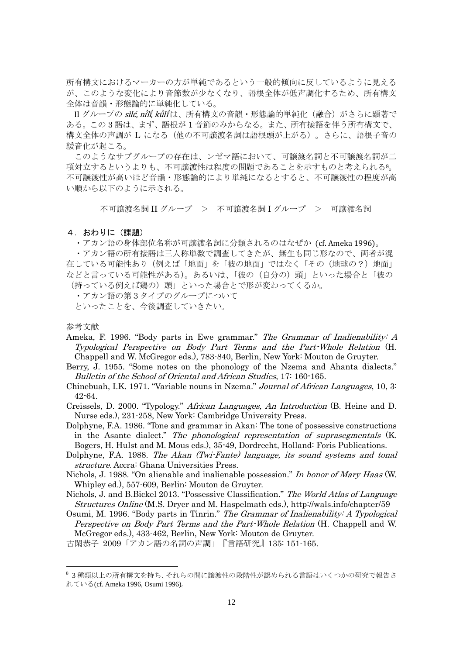所有構文におけるマーカーの方が単純であるという一般的傾向に反しているように見える が、このような変化により音節数が少なくなり、語根全体が低声調化するため、所有構文 全体は音韻・形態論的に単純化している。

II グループの *sìlé, nîlí, kǜlí* は、所有構文の音韻・形態論的単純化(融合)がさらに顕著で ある。この 3 語は、まず、語根が 1 音節のみからなる。また、所有接語を伴う所有構文で、 構文全体の声調が L になる(他の不可譲渡名詞は語根頭が上がる)。さらに、語根子音の 緩音化が起こる。

このようなサブグループの存在は、ンゼマ語において、可譲渡名詞と不可譲渡名詞が二 項対立するというよりも、不可譲渡性は程度の問題であることを示すものと考えられる8。 不可譲渡性が高いほど音韻・形態論的により単純になるとすると、不可譲渡性の程度が高 い順から以下のように示される。

不可譲渡名詞 II グループ > 不可譲渡名詞 I グループ > 可譲渡名詞

#### 4.おわりに(課題)

・アカン語の身体部位名称が可譲渡名詞に分類されるのはなぜか (cf. Ameka 1996)。

・アカン語の所有接語は三人称単数で調査してきたが、無生も同じ形なので、両者が混 在している可能性あり(例えば「地面」を「彼の地面」ではなく「その(地球の?)地面」 などと言っている可能性がある)。あるいは、「彼の(自分の)頭」といった場合と「彼の (持っている例えば鶏の)頭」といった場合とで形が変わってくるか。

- ・アカン語の第3タイプのグループについて
- といったことを、今後調査していきたい。

### 参考文献

-

- Ameka, F. 1996. "Body parts in Ewe grammar." The Grammar of Inalienability: A Typological Perspective on Body Part Terms and the Part-Whole Relation (H. Chappell and W. McGregor eds.), 783-840, Berlin, New York: Mouton de Gruyter.
- Berry, J. 1955. "Some notes on the phonology of the Nzema and Ahanta dialects." Bulletin of the School of Oriental and African Studies, 17: 160-165.
- Chinebuah, I.K. 1971. "Variable nouns in Nzema." Journal of African Languages, 10, 3: 42-64.

Creissels, D. 2000. "Typology." African Languages, An Introduction (B. Heine and D. Nurse eds.), 231-258, New York: Cambridge University Press.

Dolphyne, F.A. 1986. "Tone and grammar in Akan: The tone of possessive constructions in the Asante dialect." The phonological representation of suprasegmentals (K. Bogers, H. Hulst and M. Mous eds.), 35-49, Dordrecht, Holland: Foris Publications.

Dolphyne, F.A. 1988. The Akan (Twi-Fante) language, its sound systems and tonal structure. Accra: Ghana Universities Press.

- Nichols, J. 1988. "On alienable and inalienable possession." In honor of Mary Haas (W. Whipley ed.), 557-609, Berlin: Mouton de Gruyter.
- Nichols, J. and B.Bickel 2013. "Possessive Classification." The World Atlas of Language Structures Online (M.S. Dryer and M. Haspelmath eds.), http://wals.info/chapter/59

Osumi, M. 1996. "Body parts in Tinrin." The Grammar of Inalienability: A Typological Perspective on Body Part Terms and the Part-Whole Relation (H. Chappell and W. McGregor eds.), 433-462, Berlin, New York: Mouton de Gruyter.

古閑恭子 2009「アカン語の名詞の声調」『言語研究』135: 151-165.

<sup>8</sup> 3 種類以上の所有構文を持ち、それらの間に譲渡性の段階性が認められる言語はいくつかの研究で報告さ れている(cf. Ameka 1996, Osumi 1996)。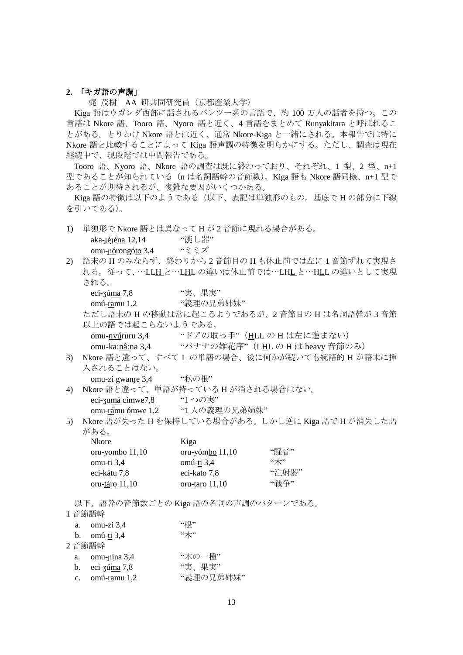### **2.** 「キガ語の声調」

梶 茂樹 AA 研共同研究員(京都産業大学)

Kiga 語はウガンダ西部に話されるバンツー系の言語で、約 100 万人の話者を持つ。この 言語は Nkore 語、Tooro 語、Nyoro 語と近く、4 言語をまとめて Runyakitara と呼ばれるこ とがある。とりわけ Nkore 語とは近く、通常 Nkore-Kiga と一緒にされる。本報告では特に Nkore 語と比較することによって Kiga 語声調の特徴を明らかにする。ただし、調査は現在 継続中で、現段階では中間報告である。

Tooro 語、Nyoro 語、Nkore 語の調査は既に終わっており、それぞれ、1 型、2 型、n+1 型であることが知られている (n は名詞語幹の音節数)。Kiga 語も Nkore 語同様、n+1 型で あることが期待されるが、複雑な要因がいくつかある。

Kiga 語の特徴は以下のようである(以下、表記は単独形のもの。基底で H の部分に下線 を引いてある)。

1) 単独形で Nkore 語とは異なって H が 2 音節に現れる場合がある。 aka-<sub>J</sub>é<sub>i</sub>éna 12,14 "漉し器" omu-nórongóto 3,4 "ミミズ" 2) 語末の H のみならず、終わりから 2 音節目の H も休止前では左に 1 音節ずれて実現さ れる。従って、…LLH と…LHL の違いは休止前では…LHL と…HLL の違いとして実現 される。 eci-ʒúma 7,8 <sup>"実、果実"</sup> omú-ramu 1.2 "義理の兄弟姉妹" ただし語末の H の移動は常に起こるようであるが、2 音節目の H は名詞語幹が 3 音節 以上の語では起こらないようである。 omu-nyúruru 3,4 "ドアの取っ手"(HLL の H は左に進まない)

omu-ka:nâ:na 3,4 "バナナの雄花序"(LHL の H は heavy 音節のみ)

3) Nkore 語と違って、すべて L の単語の場合、後に何かが続いても統語的 H が語末に挿 入されることはない。

omu-zi gwan<sub>t</sub>e 3,4 "私の根"

4) Nkore 語と違って、単語が持っている H が消される場合はない。 eci-zumá címwe7,8 " $1 \bigcirc \mathcal{O} \overline{\mathfrak{X}}$ " omu-rámu ómwe 1,2 "1 人の義理の兄弟姉妹"

5) Nkore 語が失った H を保持している場合がある。しかし逆に Kiga 語で H が消失した語 がある。

| Kiga             |       |
|------------------|-------|
| oru-yómbo 11,10  | "騒音"  |
| omú-ti 3,4       | "木"   |
| eci-kato 7,8     | "注射器" |
| oru-taro $11,10$ | "戦争"  |
|                  |       |

以下、語幹の音節数ごとの Kiga 語の名詞の声調のパターンである。

#### 1 音節語幹

|             | a. $omu-zi\,3.4$                   | "根"       |
|-------------|------------------------------------|-----------|
|             | b. omú-ti $3,4$                    | "木"       |
|             | 2音節語幹                              |           |
|             | a. omu-nina 3,4                    | "木の一種"    |
|             | b. eci-zú $\frac{\text{m}}{2}$ 7,8 | "実、果実"    |
| $c_{\cdot}$ | omú-ramu 1,2                       | "義理の兄弟姉妹" |